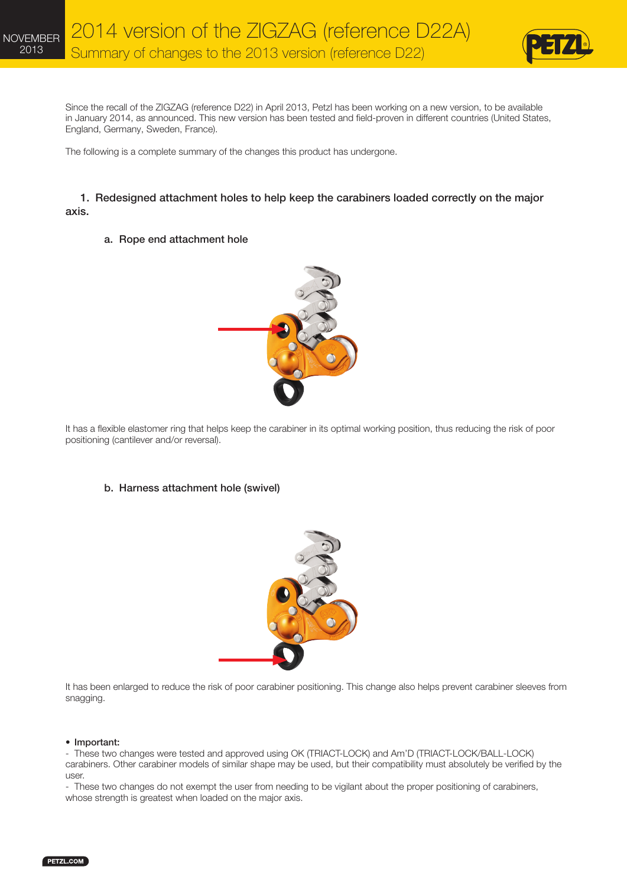

Since the recall of the ZIGZAG (reference D22) in April 2013, Petzl has been working on a new version, to be available in January 2014, as announced. This new version has been tested and field-proven in different countries (United States, England, Germany, Sweden, France).

The following is a complete summary of the changes this product has undergone.

### 1. Redesigned attachment holes to help keep the carabiners loaded correctly on the major axis.

#### a. Rope end attachment hole



It has a flexible elastomer ring that helps keep the carabiner in its optimal working position, thus reducing the risk of poor positioning (cantilever and/or reversal).

### b. Harness attachment hole (swivel)



It has been enlarged to reduce the risk of poor carabiner positioning. This change also helps prevent carabiner sleeves from snagging.

#### • Important:

- These two changes were tested and approved using OK (TRIACT-LOCK) and Am'D (TRIACT-LOCK/BALL-LOCK) carabiners. Other carabiner models of similar shape may be used, but their compatibility must absolutely be verified by the user.

- These two changes do not exempt the user from needing to be vigilant about the proper positioning of carabiners, whose strength is greatest when loaded on the major axis.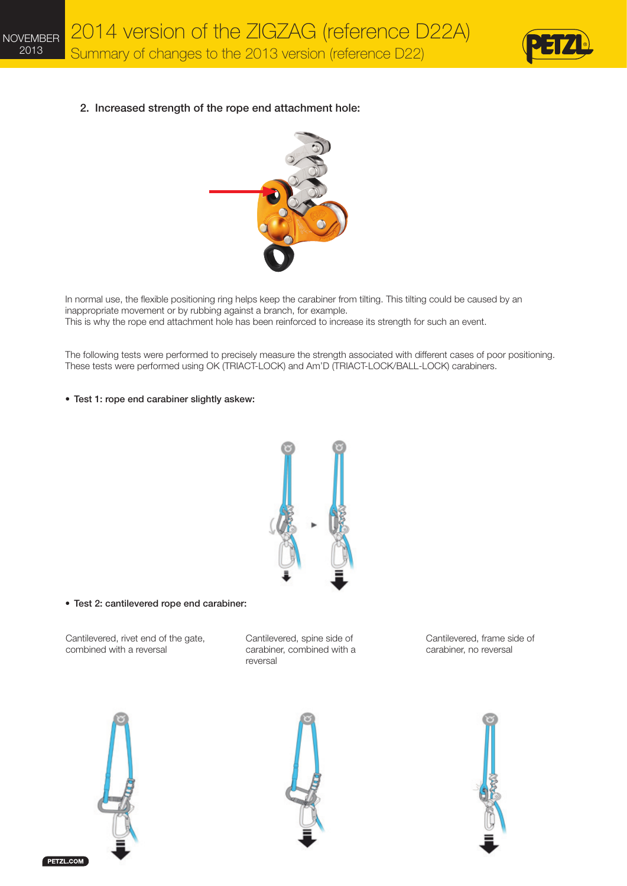

2. Increased strength of the rope end attachment hole:



In normal use, the flexible positioning ring helps keep the carabiner from tilting. This tilting could be caused by an inappropriate movement or by rubbing against a branch, for example. This is why the rope end attachment hole has been reinforced to increase its strength for such an event.

The following tests were performed to precisely measure the strength associated with different cases of poor positioning. These tests were performed using OK (TRIACT-LOCK) and Am'D (TRIACT-LOCK/BALL-LOCK) carabiners.

• Test 1: rope end carabiner slightly askew:



• Test 2: cantilevered rope end carabiner:

Cantilevered, rivet end of the gate, combined with a reversal

Cantilevered, spine side of carabiner, combined with a reversal

Cantilevered, frame side of carabiner, no reversal



PETZL.COM



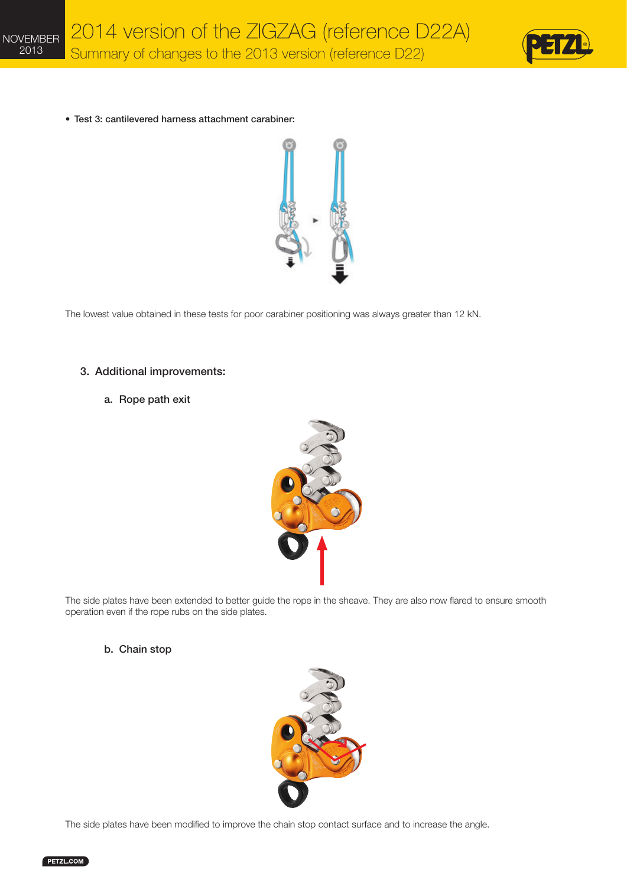





The lowest value obtained in these tests for poor carabiner positioning was always greater than 12 kN.

#### 3. Additional improvements:

## a. Rope path exit



The side plates have been extended to better guide the rope in the sheave. They are also now flared to ensure smooth operation even if the rope rubs on the side plates.

#### b. Chain stop



The side plates have been modified to improve the chain stop contact surface and to increase the angle.